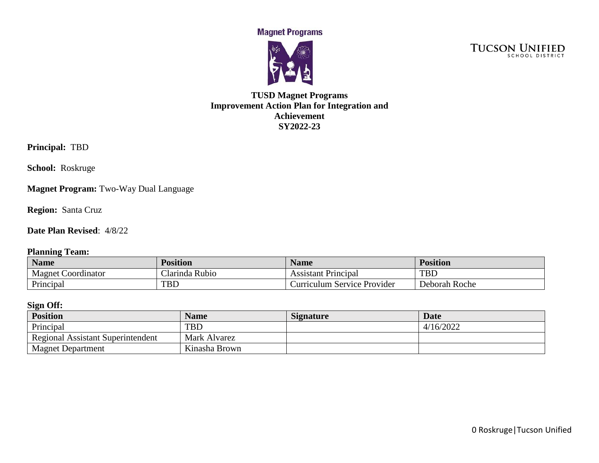**Magnet Programs** 



**TUCSON UNIFIED** 

## **TUSD Magnet Programs Improvement Action Plan for Integration and Achievement SY2022-23**

**Principal:** TBD

**School:** Roskruge

**Magnet Program:** Two-Way Dual Language

**Region:** Santa Cruz

**Date Plan Revised**: 4/8/22

#### **Planning Team:**

| <b>Name</b>           | <b>Position</b>           | <b>Name</b>                 | <b>Position</b> |
|-----------------------|---------------------------|-----------------------------|-----------------|
| Magnet<br>Coordinator | <b>Rubio</b><br>Clarinda. | Principal<br>Assistant      | <b>TBL</b>      |
| Principal             | <b>TBD</b>                | Curriculum Service Provider | Deborah Roche   |

### **Sign Off:**

| <b>Position</b>                          | <b>Name</b>   | <b>Signature</b> | <b>Date</b> |
|------------------------------------------|---------------|------------------|-------------|
| Principal                                | <b>TBD</b>    |                  | 4/16/2022   |
| <b>Regional Assistant Superintendent</b> | Mark Alvarez  |                  |             |
| <b>Magnet Department</b>                 | Kinasha Brown |                  |             |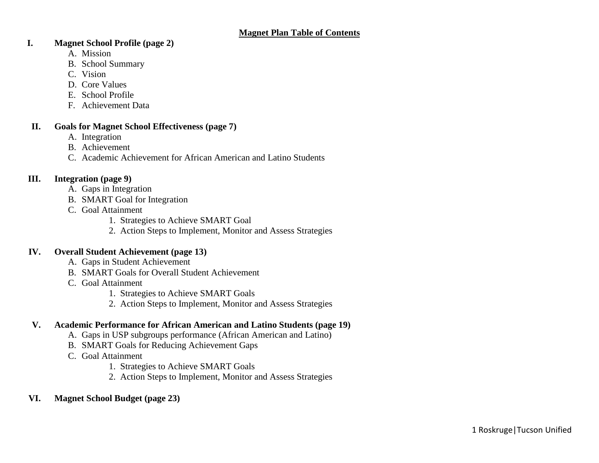### **I. Magnet School Profile (page 2)**

- A. Mission
- B. School Summary
- C. Vision
- D. Core Values
- E. School Profile
- F. Achievement Data

### **II. Goals for Magnet School Effectiveness (page 7)**

- A. Integration
- B. Achievement
- C. Academic Achievement for African American and Latino Students

### **III. Integration (page 9)**

- A. Gaps in Integration
- B. SMART Goal for Integration
- C. Goal Attainment
	- 1. Strategies to Achieve SMART Goal
	- 2. Action Steps to Implement, Monitor and Assess Strategies

### **IV. Overall Student Achievement (page 13)**

- A. Gaps in Student Achievement
- B. SMART Goals for Overall Student Achievement
- C. Goal Attainment
	- 1. Strategies to Achieve SMART Goals
	- 2. Action Steps to Implement, Monitor and Assess Strategies

## **V. Academic Performance for African American and Latino Students (page 19)**

- A. Gaps in USP subgroups performance (African American and Latino)
- B. SMART Goals for Reducing Achievement Gaps
- C. Goal Attainment
	- 1. Strategies to Achieve SMART Goals
	- 2. Action Steps to Implement, Monitor and Assess Strategies
- **VI. Magnet School Budget (page 23)**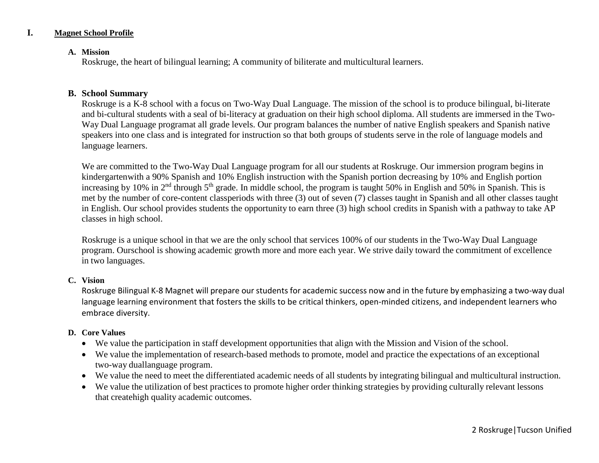### **I. Magnet School Profile**

#### **A. Mission**

Roskruge, the heart of bilingual learning; A community of biliterate and multicultural learners.

#### **B. School Summary**

Roskruge is a K-8 school with a focus on Two-Way Dual Language. The mission of the school is to produce bilingual, bi-literate and bi-cultural students with a seal of bi-literacy at graduation on their high school diploma. All students are immersed in the Two-Way Dual Language programat all grade levels. Our program balances the number of native English speakers and Spanish native speakers into one class and is integrated for instruction so that both groups of students serve in the role of language models and language learners.

We are committed to the Two-Way Dual Language program for all our students at Roskruge. Our immersion program begins in kindergartenwith a 90% Spanish and 10% English instruction with the Spanish portion decreasing by 10% and English portion increasing by 10% in  $2<sup>nd</sup>$  through  $5<sup>th</sup>$  grade. In middle school, the program is taught 50% in English and 50% in Spanish. This is met by the number of core-content classperiods with three (3) out of seven (7) classes taught in Spanish and all other classes taught in English. Our school provides students the opportunity to earn three (3) high school credits in Spanish with a pathway to take AP classes in high school.

Roskruge is a unique school in that we are the only school that services 100% of our students in the Two-Way Dual Language program. Ourschool is showing academic growth more and more each year. We strive daily toward the commitment of excellence in two languages.

#### **C. Vision**

Roskruge Bilingual K-8 Magnet will prepare our students for academic success now and in the future by emphasizing a two-way dual language learning environment that fosters the skills to be critical thinkers, open-minded citizens, and independent learners who embrace diversity.

#### **D. Core Values**

- We value the participation in staff development opportunities that align with the Mission and Vision of the school.
- We value the implementation of research-based methods to promote, model and practice the expectations of an exceptional two-way duallanguage program.
- We value the need to meet the differentiated academic needs of all students by integrating bilingual and multicultural instruction.
- We value the utilization of best practices to promote higher order thinking strategies by providing culturally relevant lessons that createhigh quality academic outcomes.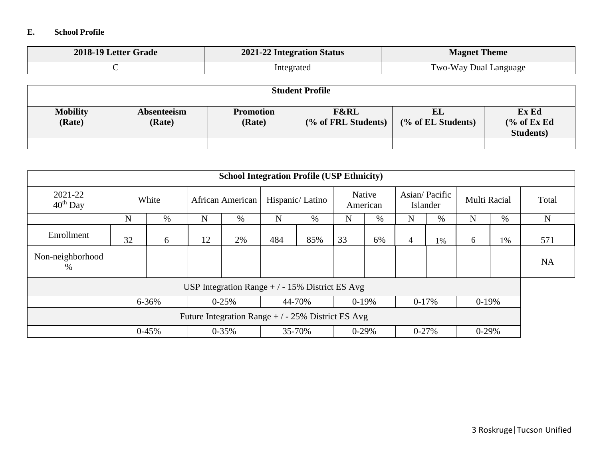### **E. School Profile**

| 2018-19 Letter Grade | 2021-22 Integration Status | <b>Magnet Theme</b>   |  |  |
|----------------------|----------------------------|-----------------------|--|--|
|                      | Integrated                 | Two-Way Dual Language |  |  |

| <b>Student Profile</b>    |                       |                            |                                        |                          |                                                      |  |  |  |  |
|---------------------------|-----------------------|----------------------------|----------------------------------------|--------------------------|------------------------------------------------------|--|--|--|--|
| <b>Mobility</b><br>(Rate) | Absenteeism<br>(Rate) | <b>Promotion</b><br>(Rate) | <b>F&amp;RL</b><br>(% of FRL Students) | EL<br>(% of EL Students) | Ex Ed<br>$\frac{6}{6}$ of Ex Ed<br><b>Students</b> ) |  |  |  |  |
|                           |                       |                            |                                        |                          |                                                      |  |  |  |  |

| <b>School Integration Profile (USP Ethnicity)</b> |           |         |                  |                                                    |                 |        |                    |         |                           |      |              |    |             |
|---------------------------------------------------|-----------|---------|------------------|----------------------------------------------------|-----------------|--------|--------------------|---------|---------------------------|------|--------------|----|-------------|
| 2021-22<br>$40th$ Day                             | White     |         | African American |                                                    | Hispanic/Latino |        | Native<br>American |         | Asian/Pacific<br>Islander |      | Multi Racial |    | Total       |
|                                                   | N         | $\%$    | N                | $\%$                                               | $\mathbf N$     | %      | N                  | $\%$    | $\mathbf N$               | $\%$ | N            | %  | $\mathbf N$ |
| Enrollment                                        | 32        | 6       | 12               | 2%                                                 | 484             | 85%    | 33                 | 6%      | $\overline{4}$            | 1%   | 6            | 1% | 571         |
| Non-neighborhood<br>$\%$                          |           |         |                  |                                                    |                 |        |                    |         |                           |      |              |    | <b>NA</b>   |
|                                                   |           |         |                  | USP Integration Range $+/-15\%$ District ES Avg    |                 |        |                    |         |                           |      |              |    |             |
|                                                   | $6 - 36%$ |         |                  | $0 - 25%$                                          |                 | 44-70% | $0-19%$            |         | $0-17%$                   |      | $0-19%$      |    |             |
|                                                   |           |         |                  | Future Integration Range $+/-25\%$ District ES Avg |                 |        |                    |         |                           |      |              |    |             |
|                                                   |           | $0-45%$ |                  | $0 - 35\%$                                         |                 | 35-70% |                    | $0-29%$ | $0 - 27%$                 |      | $0-29%$      |    |             |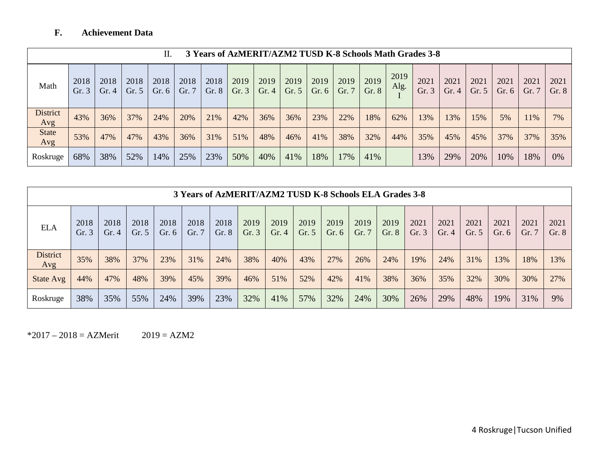# **F. Achievement Data**

|                        | 3 Years of AzMERIT/AZM2 TUSD K-8 Schools Math Grades 3-8<br>П. |               |               |                 |               |               |               |              |                 |                 |               |               |              |               |               |                 |                 |               |               |
|------------------------|----------------------------------------------------------------|---------------|---------------|-----------------|---------------|---------------|---------------|--------------|-----------------|-----------------|---------------|---------------|--------------|---------------|---------------|-----------------|-----------------|---------------|---------------|
| Math                   | 2018<br>Gr. $3$                                                | 2018<br>Gr. 4 | 2018<br>Gr. 5 | 2018<br>Gr. $6$ | 2018<br>Gr. 7 | 2018<br>Gr. 8 | 2019<br>Gr. 3 | 2019<br>Gr.4 | 2019<br>Gr. $5$ | 2019<br>Gr. $6$ | 2019<br>Gr. 7 | 2019<br>Gr. 8 | 2019<br>Alg. | 2021<br>Gr. 3 | 2021<br>Gr. 4 | 2021<br>Gr. $5$ | 2021<br>Gr. $6$ | 2021<br>Gr. 7 | 2021<br>Gr. 8 |
| <b>District</b><br>Avg | 43%                                                            | 36%           | 37%           | 24%             | 20%           | 21%           | 42%           | 36%          | 36%             | 23%             | 22%           | 18%           | 62%          | 13%           | 13%           | 15%             | 5%              | 11%           | 7%            |
| <b>State</b><br>Avg    | 53%                                                            | 47%           | 47%           | 43%             | 36%           | 31%           | 51%           | 48%          | 46%             | 41%             | 38%           | 32%           | 44%          | 35%           | 45%           | 45%             | 37%             | 37%           | 35%           |
| Roskruge               | 68%                                                            | 38%           | 52%           | 14%             | 25%           | 23%           | 50%           | 40%          | 41%             | 18%             | 17%           | 41%           |              | 13%           | 29%           | 20%             | 10%             | 18%           | 0%            |

|                        | 3 Years of AzMERIT/AZM2 TUSD K-8 Schools ELA Grades 3-8 |                 |                 |                 |               |               |              |               |                 |                 |               |               |              |                 |                 |                 |              |               |
|------------------------|---------------------------------------------------------|-----------------|-----------------|-----------------|---------------|---------------|--------------|---------------|-----------------|-----------------|---------------|---------------|--------------|-----------------|-----------------|-----------------|--------------|---------------|
| <b>ELA</b>             | 2018<br>Gr.3                                            | 2018<br>Gr. $4$ | 2018<br>Gr. $5$ | 2018<br>Gr. $6$ | 2018<br>Gr. 7 | 2018<br>Gr. 8 | 2019<br>Gr.3 | 2019<br>Gr. 4 | 2019<br>Gr. $5$ | 2019<br>Gr. $6$ | 2019<br>Gr. 7 | 2019<br>Gr. 8 | 2021<br>Gr.3 | 2021<br>Gr. $4$ | 2021<br>Gr. $5$ | 2021<br>Gr. $6$ | 2021<br>Gr.7 | 2021<br>Gr. 8 |
| <b>District</b><br>Avg | 35%                                                     | 38%             | 37%             | 23%             | 31%           | 24%           | 38%          | 40%           | 43%             | 27%             | 26%           | 24%           | 19%          | 24%             | 31%             | 13%             | 18%          | 13%           |
| State Avg              | 44%                                                     | 47%             | 48%             | 39%             | 45%           | 39%           | 46%          | 51%           | 52%             | 42%             | 41%           | 38%           | 36%          | 35%             | 32%             | 30%             | 30%          | 27%           |
| Roskruge               | 38%                                                     | 35%             | 55%             | 24%             | 39%           | 23%           | 32%          | 41%           | 57%             | 32%             | 24%           | 30%           | 26%          | 29%             | 48%             | 19%             | 31%          | 9%            |

 $*2017 - 2018 = AZMerit$  2019 = AZM2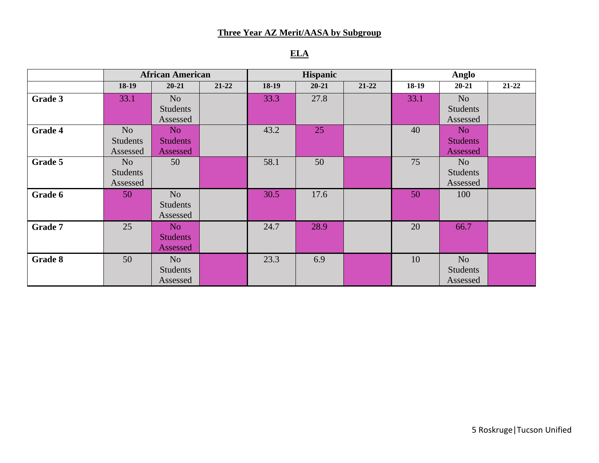## **Three Year AZ Merit/AASA by Subgroup**

# **ELA**

|                | <b>African American</b> |                 |           |         | <b>Hispanic</b> |           |         | Anglo           |           |
|----------------|-------------------------|-----------------|-----------|---------|-----------------|-----------|---------|-----------------|-----------|
|                | 18-19                   | $20 - 21$       | $21 - 22$ | $18-19$ | $20 - 21$       | $21 - 22$ | $18-19$ | $20 - 21$       | $21 - 22$ |
| Grade 3        | 33.1                    | N <sub>o</sub>  |           | 33.3    | 27.8            |           | 33.1    | N <sub>o</sub>  |           |
|                |                         | <b>Students</b> |           |         |                 |           |         | <b>Students</b> |           |
|                |                         | Assessed        |           |         |                 |           |         | Assessed        |           |
| Grade 4        | N <sub>o</sub>          | No.             |           | 43.2    | 25              |           | 40      | N <sub>o</sub>  |           |
|                | <b>Students</b>         | <b>Students</b> |           |         |                 |           |         | <b>Students</b> |           |
|                | Assessed                | Assessed        |           |         |                 |           |         | Assessed        |           |
| Grade 5        | N <sub>o</sub>          | 50              |           | 58.1    | 50              |           | 75      | N <sub>o</sub>  |           |
|                | <b>Students</b>         |                 |           |         |                 |           |         | <b>Students</b> |           |
|                | Assessed                |                 |           |         |                 |           |         | Assessed        |           |
| Grade 6        | 50                      | N <sub>o</sub>  |           | 30.5    | 17.6            |           | 50      | 100             |           |
|                |                         | <b>Students</b> |           |         |                 |           |         |                 |           |
|                |                         | Assessed        |           |         |                 |           |         |                 |           |
| <b>Grade 7</b> | 25                      | No              |           | 24.7    | 28.9            |           | 20      | 66.7            |           |
|                |                         | <b>Students</b> |           |         |                 |           |         |                 |           |
|                |                         | Assessed        |           |         |                 |           |         |                 |           |
| Grade 8        | 50                      | N <sub>o</sub>  |           | 23.3    | 6.9             |           | 10      | N <sub>o</sub>  |           |
|                |                         | <b>Students</b> |           |         |                 |           |         | <b>Students</b> |           |
|                |                         | Assessed        |           |         |                 |           |         | Assessed        |           |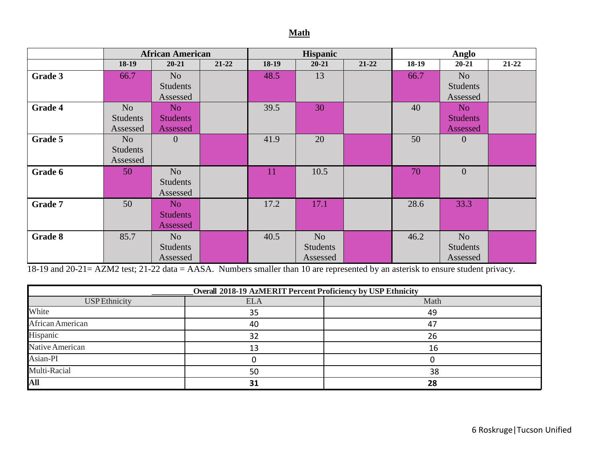### **Math**

|                |                 | <b>African American</b> |           |         | Hispanic        |           |         | Anglo           |           |
|----------------|-----------------|-------------------------|-----------|---------|-----------------|-----------|---------|-----------------|-----------|
|                | 18-19           | $20 - 21$               | $21 - 22$ | $18-19$ | $20 - 21$       | $21 - 22$ | $18-19$ | $20 - 21$       | $21 - 22$ |
| Grade 3        | 66.7            | N <sub>o</sub>          |           | 48.5    | 13              |           | 66.7    | N <sub>o</sub>  |           |
|                |                 | <b>Students</b>         |           |         |                 |           |         | <b>Students</b> |           |
|                |                 | Assessed                |           |         |                 |           |         | Assessed        |           |
| Grade 4        | N <sub>o</sub>  | N <sub>o</sub>          |           | 39.5    | 30              |           | 40      | N <sub>o</sub>  |           |
|                | <b>Students</b> | <b>Students</b>         |           |         |                 |           |         | <b>Students</b> |           |
|                | Assessed        | Assessed                |           |         |                 |           |         | Assessed        |           |
| Grade 5        | N <sub>o</sub>  | $\overline{0}$          |           | 41.9    | 20              |           | 50      | $\overline{0}$  |           |
|                | <b>Students</b> |                         |           |         |                 |           |         |                 |           |
|                | Assessed        |                         |           |         |                 |           |         |                 |           |
| Grade 6        | 50              | N <sub>o</sub>          |           | 11      | 10.5            |           | 70      | $\overline{0}$  |           |
|                |                 | <b>Students</b>         |           |         |                 |           |         |                 |           |
|                |                 | Assessed                |           |         |                 |           |         |                 |           |
| Grade 7        | 50              | N <sub>o</sub>          |           | 17.2    | 17.1            |           | 28.6    | 33.3            |           |
|                |                 | <b>Students</b>         |           |         |                 |           |         |                 |           |
|                |                 | Assessed                |           |         |                 |           |         |                 |           |
| <b>Grade 8</b> | 85.7            | N <sub>o</sub>          |           | 40.5    | N <sub>o</sub>  |           | 46.2    | N <sub>o</sub>  |           |
|                |                 | <b>Students</b>         |           |         | <b>Students</b> |           |         | <b>Students</b> |           |
|                |                 | Assessed                |           |         | Assessed        |           |         | Assessed        |           |

18-19 and 20-21= AZM2 test; 21-22 data = AASA. Numbers smaller than 10 are represented by an asterisk to ensure student privacy.

| Overall 2018-19 AzMERIT Percent Proficiency by USP Ethnicity |            |      |  |  |  |  |  |  |  |
|--------------------------------------------------------------|------------|------|--|--|--|--|--|--|--|
| <b>USP</b> Ethnicity                                         | <b>ELA</b> | Math |  |  |  |  |  |  |  |
| White                                                        | 35         | 49   |  |  |  |  |  |  |  |
| African American                                             | 40         | 47   |  |  |  |  |  |  |  |
| Hispanic                                                     | 32         | 26   |  |  |  |  |  |  |  |
| Native American                                              | 13         | 16   |  |  |  |  |  |  |  |
| Asian-PI                                                     |            |      |  |  |  |  |  |  |  |
| Multi-Racial                                                 | 50         | 38   |  |  |  |  |  |  |  |
| All                                                          | 31         | 28   |  |  |  |  |  |  |  |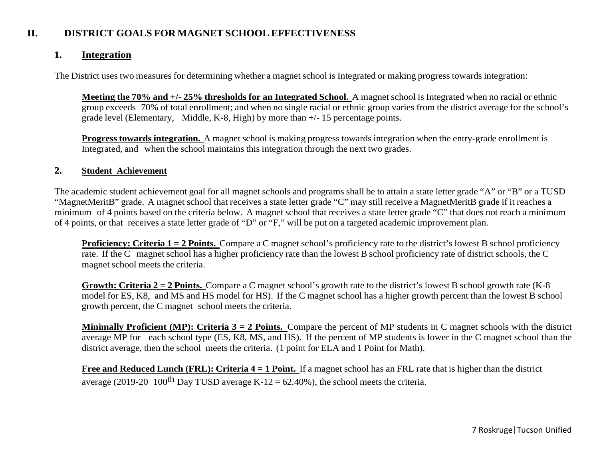## **II. DISTRICT GOALS FOR MAGNET SCHOOL EFFECTIVENESS**

## **1. Integration**

The District uses two measures for determining whether a magnet school is Integrated or making progress towards integration:

**Meeting the 70% and +/- 25% thresholds for an Integrated School.** A magnet school is Integrated when no racial or ethnic group exceeds 70% of total enrollment; and when no single racial or ethnic group varies from the district average for the school's grade level (Elementary, Middle, K-8, High) by more than +/- 15 percentage points.

**Progress towards integration.** A magnet school is making progress towards integration when the entry-grade enrollment is Integrated, and when the school maintains this integration through the next two grades.

### **2. Student Achievement**

The academic student achievement goal for all magnet schools and programs shall be to attain a state letter grade "A" or "B" or a TUSD "MagnetMeritB" grade. A magnet school that receives a state letter grade "C" may still receive a MagnetMeritB grade if it reaches a minimum of 4 points based on the criteria below. A magnet school that receives a state letter grade "C" that does not reach a minimum of 4 points, or that receives a state letter grade of "D" or "F," will be put on a targeted academic improvement plan.

**Proficiency: Criteria 1 = 2 Points.** Compare a C magnet school's proficiency rate to the district's lowest B school proficiency rate. If the C magnet school has a higher proficiency rate than the lowest B school proficiency rate of district schools, the C magnet school meets the criteria.

**Growth: Criteria 2 = 2 Points.** Compare a C magnet school's growth rate to the district's lowest B school growth rate (K-8 model for ES, K8, and MS and HS model for HS). If the C magnet school has a higher growth percent than the lowest B school growth percent, the C magnet school meets the criteria.

**Minimally Proficient (MP): Criteria 3 = 2 Points.** Compare the percent of MP students in C magnet schools with the district average MP for each school type (ES, K8, MS, and HS). If the percent of MP students is lower in the C magnet school than the district average, then the school meets the criteria. (1 point for ELA and 1 Point for Math).

**Free and Reduced Lunch (FRL): Criteria 4 = 1 Point.** If a magnet school has an FRL rate that is higher than the district average (2019-20 100<sup>th</sup> Day TUSD average K-12 = 62.40%), the school meets the criteria.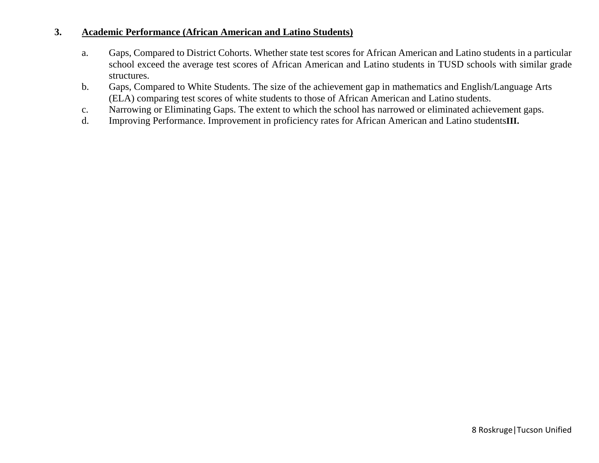### **3. Academic Performance (African American and Latino Students)**

- a. Gaps, Compared to District Cohorts. Whether state test scores for African American and Latino students in a particular school exceed the average test scores of African American and Latino students in TUSD schools with similar grade structures.
- b. Gaps, Compared to White Students. The size of the achievement gap in mathematics and English/Language Arts (ELA) comparing test scores of white students to those of African American and Latino students.
- c. Narrowing or Eliminating Gaps. The extent to which the school has narrowed or eliminated achievement gaps.
- d. Improving Performance. Improvement in proficiency rates for African American and Latino students**III.**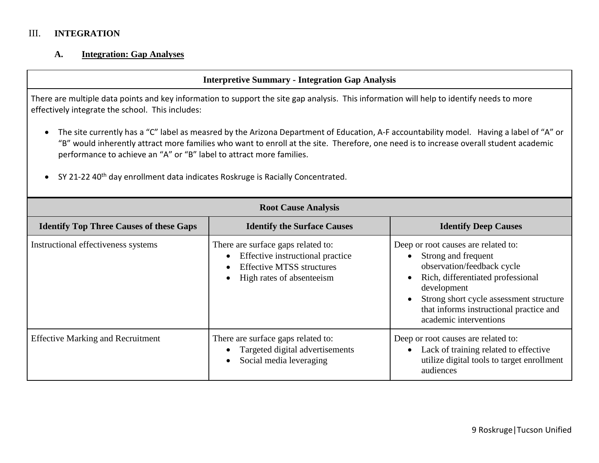# III. **INTEGRATION**

# **A. Integration: Gap Analyses**

|                                                                                                                                                                                                                                                                                                                                                                                                                                                          | <b>Interpretive Summary - Integration Gap Analysis</b>                                                                                                                                                                                                                                                                                                                                                                                                      |                             |  |  |  |  |  |  |
|----------------------------------------------------------------------------------------------------------------------------------------------------------------------------------------------------------------------------------------------------------------------------------------------------------------------------------------------------------------------------------------------------------------------------------------------------------|-------------------------------------------------------------------------------------------------------------------------------------------------------------------------------------------------------------------------------------------------------------------------------------------------------------------------------------------------------------------------------------------------------------------------------------------------------------|-----------------------------|--|--|--|--|--|--|
| There are multiple data points and key information to support the site gap analysis. This information will help to identify needs to more<br>effectively integrate the school. This includes:                                                                                                                                                                                                                                                            |                                                                                                                                                                                                                                                                                                                                                                                                                                                             |                             |  |  |  |  |  |  |
| The site currently has a "C" label as measred by the Arizona Department of Education, A-F accountability model. Having a label of "A" or<br>"B" would inherently attract more families who want to enroll at the site. Therefore, one need is to increase overall student academic<br>performance to achieve an "A" or "B" label to attract more families.<br>SY 21-22 40 <sup>th</sup> day enrollment data indicates Roskruge is Racially Concentrated. |                                                                                                                                                                                                                                                                                                                                                                                                                                                             |                             |  |  |  |  |  |  |
|                                                                                                                                                                                                                                                                                                                                                                                                                                                          | <b>Root Cause Analysis</b>                                                                                                                                                                                                                                                                                                                                                                                                                                  |                             |  |  |  |  |  |  |
| <b>Identify Top Three Causes of these Gaps</b>                                                                                                                                                                                                                                                                                                                                                                                                           | <b>Identify the Surface Causes</b>                                                                                                                                                                                                                                                                                                                                                                                                                          | <b>Identify Deep Causes</b> |  |  |  |  |  |  |
| Instructional effectiveness systems                                                                                                                                                                                                                                                                                                                                                                                                                      | There are surface gaps related to:<br>Deep or root causes are related to:<br>Effective instructional practice<br>Strong and frequent<br>$\bullet$<br>observation/feedback cycle<br><b>Effective MTSS structures</b><br>Rich, differentiated professional<br>High rates of absenteeism<br>$\bullet$<br>$\bullet$<br>development<br>Strong short cycle assessment structure<br>$\bullet$<br>that informs instructional practice and<br>academic interventions |                             |  |  |  |  |  |  |
| <b>Effective Marking and Recruitment</b><br>There are surface gaps related to:<br>Deep or root causes are related to:<br>Targeted digital advertisements<br>Lack of training related to effective<br>$\bullet$<br>utilize digital tools to target enrollment<br>Social media leveraging<br>$\bullet$<br>audiences                                                                                                                                        |                                                                                                                                                                                                                                                                                                                                                                                                                                                             |                             |  |  |  |  |  |  |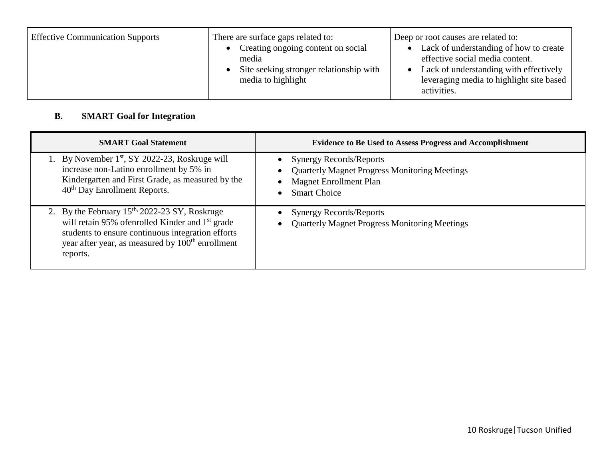| <b>Effective Communication Supports</b> | There are surface gaps related to:<br>Creating ongoing content on social<br>media<br>Site seeking stronger relationship with<br>media to highlight | Deep or root causes are related to:<br>Lack of understanding of how to create<br>effective social media content.<br>Lack of understanding with effectively<br>leveraging media to highlight site based<br>activities. |
|-----------------------------------------|----------------------------------------------------------------------------------------------------------------------------------------------------|-----------------------------------------------------------------------------------------------------------------------------------------------------------------------------------------------------------------------|
|-----------------------------------------|----------------------------------------------------------------------------------------------------------------------------------------------------|-----------------------------------------------------------------------------------------------------------------------------------------------------------------------------------------------------------------------|

# **B. SMART Goal for Integration**

| <b>SMART Goal Statement</b>                                                                                                                                                                                                                       | <b>Evidence to Be Used to Assess Progress and Accomplishment</b>                                                                                                         |
|---------------------------------------------------------------------------------------------------------------------------------------------------------------------------------------------------------------------------------------------------|--------------------------------------------------------------------------------------------------------------------------------------------------------------------------|
| 1. By November 1 <sup>st</sup> , SY 2022-23, Roskruge will<br>increase non-Latino enrollment by 5% in<br>Kindergarten and First Grade, as measured by the<br>40 <sup>th</sup> Day Enrollment Reports.                                             | <b>Synergy Records/Reports</b><br>$\bullet$<br><b>Quarterly Magnet Progress Monitoring Meetings</b><br>$\bullet$<br><b>Magnet Enrollment Plan</b><br><b>Smart Choice</b> |
| 2. By the February $15th$ , 2022-23 SY, Roskruge<br>will retain 95% of enrolled Kinder and 1 <sup>st</sup> grade<br>students to ensure continuous integration efforts<br>year after year, as measured by 100 <sup>th</sup> enrollment<br>reports. | <b>Synergy Records/Reports</b><br>$\bullet$<br><b>Quarterly Magnet Progress Monitoring Meetings</b><br>$\bullet$                                                         |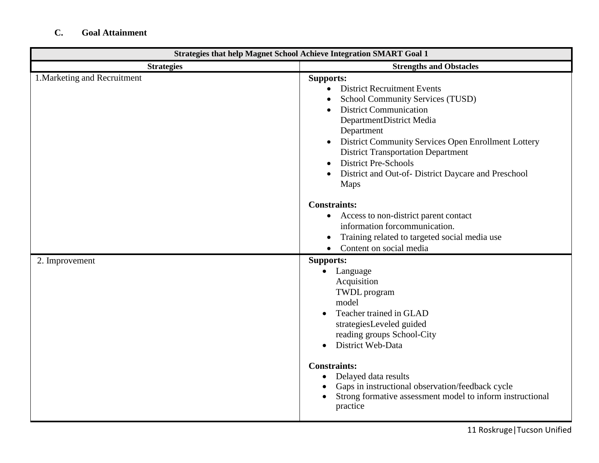# **C. Goal Attainment**

| <b>Strategies that help Magnet School Achieve Integration SMART Goal 1</b> |                                                                                                                                                                                                                                                                                                                                                                                                                          |  |  |
|----------------------------------------------------------------------------|--------------------------------------------------------------------------------------------------------------------------------------------------------------------------------------------------------------------------------------------------------------------------------------------------------------------------------------------------------------------------------------------------------------------------|--|--|
| <b>Strategies</b>                                                          | <b>Strengths and Obstacles</b>                                                                                                                                                                                                                                                                                                                                                                                           |  |  |
| 1. Marketing and Recruitment                                               | <b>Supports:</b><br><b>District Recruitment Events</b><br>$\bullet$<br>School Community Services (TUSD)<br><b>District Communication</b><br>DepartmentDistrict Media<br>Department<br>District Community Services Open Enrollment Lottery<br>$\bullet$<br><b>District Transportation Department</b><br><b>District Pre-Schools</b><br>District and Out-of- District Daycare and Preschool<br>Maps<br><b>Constraints:</b> |  |  |
|                                                                            | • Access to non-district parent contact<br>information forcommunication.<br>Training related to targeted social media use<br>Content on social media<br>$\bullet$                                                                                                                                                                                                                                                        |  |  |
| 2. Improvement                                                             | Supports:<br>Language<br>$\bullet$<br>Acquisition<br><b>TWDL</b> program<br>model<br>Teacher trained in GLAD<br>strategiesLeveled guided<br>reading groups School-City<br>District Web-Data<br><b>Constraints:</b>                                                                                                                                                                                                       |  |  |
|                                                                            | Delayed data results<br>$\bullet$<br>Gaps in instructional observation/feedback cycle<br>$\bullet$<br>Strong formative assessment model to inform instructional<br>$\bullet$<br>practice                                                                                                                                                                                                                                 |  |  |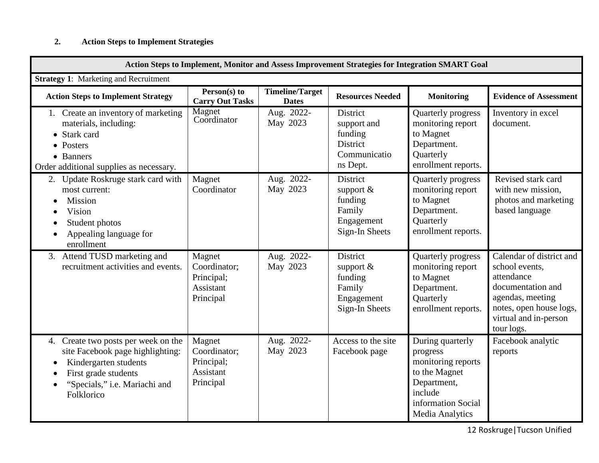# **2. Action Steps to Implement Strategies**

| Action Steps to Implement, Monitor and Assess Improvement Strategies for Integration SMART Goal                                                                                                      |                                                                |                                        |                                                                               |                                                                                                                                               |                                                                                                                                                                     |
|------------------------------------------------------------------------------------------------------------------------------------------------------------------------------------------------------|----------------------------------------------------------------|----------------------------------------|-------------------------------------------------------------------------------|-----------------------------------------------------------------------------------------------------------------------------------------------|---------------------------------------------------------------------------------------------------------------------------------------------------------------------|
| <b>Strategy 1:</b> Marketing and Recruitment                                                                                                                                                         |                                                                |                                        |                                                                               |                                                                                                                                               |                                                                                                                                                                     |
| <b>Action Steps to Implement Strategy</b>                                                                                                                                                            | Person(s) to<br><b>Carry Out Tasks</b>                         | <b>Timeline/Target</b><br><b>Dates</b> | <b>Resources Needed</b>                                                       | <b>Monitoring</b>                                                                                                                             | <b>Evidence of Assessment</b>                                                                                                                                       |
| 1. Create an inventory of marketing<br>materials, including:<br>• Stark card<br>• Posters<br>• Banners<br>Order additional supplies as necessary.                                                    | Magnet<br>Coordinator                                          | Aug. 2022-<br>May 2023                 | District<br>support and<br>funding<br>District<br>Communicatio<br>ns Dept.    | Quarterly progress<br>monitoring report<br>to Magnet<br>Department.<br>Quarterly<br>enrollment reports.                                       | Inventory in excel<br>document.                                                                                                                                     |
| Update Roskruge stark card with<br>2.<br>most current:<br>Mission<br>Vision<br>$\bullet$<br>Student photos<br>$\bullet$<br>Appealing language for<br>$\bullet$<br>enrollment                         | Magnet<br>Coordinator                                          | Aug. 2022-<br>May 2023                 | District<br>support $\&$<br>funding<br>Family<br>Engagement<br>Sign-In Sheets | Quarterly progress<br>monitoring report<br>to Magnet<br>Department.<br>Quarterly<br>enrollment reports.                                       | Revised stark card<br>with new mission,<br>photos and marketing<br>based language                                                                                   |
| 3. Attend TUSD marketing and<br>recruitment activities and events.                                                                                                                                   | Magnet<br>Coordinator;<br>Principal;<br>Assistant<br>Principal | Aug. 2022-<br>May 2023                 | District<br>support $\&$<br>funding<br>Family<br>Engagement<br>Sign-In Sheets | Quarterly progress<br>monitoring report<br>to Magnet<br>Department.<br>Quarterly<br>enrollment reports.                                       | Calendar of district and<br>school events,<br>attendance<br>documentation and<br>agendas, meeting<br>notes, open house logs,<br>virtual and in-person<br>tour logs. |
| Create two posts per week on the<br>4.<br>site Facebook page highlighting:<br>Kindergarten students<br>$\bullet$<br>First grade students<br>$\bullet$<br>"Specials," i.e. Mariachi and<br>Folklorico | Magnet<br>Coordinator;<br>Principal;<br>Assistant<br>Principal | Aug. 2022-<br>May 2023                 | Access to the site<br>Facebook page                                           | During quarterly<br>progress<br>monitoring reports<br>to the Magnet<br>Department,<br>include<br>information Social<br><b>Media Analytics</b> | Facebook analytic<br>reports                                                                                                                                        |

12 Roskruge|Tucson Unified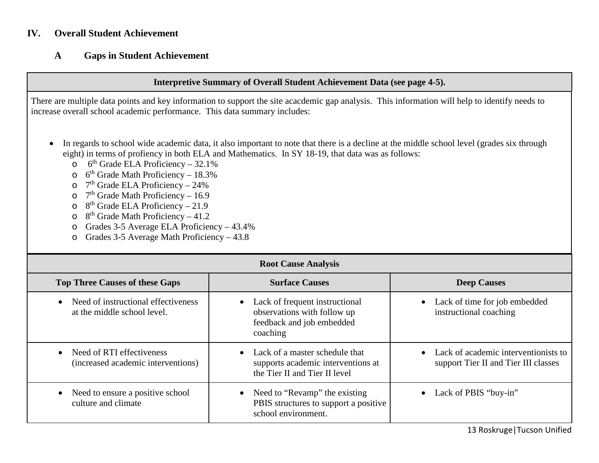### **IV. Overall Student Achievement**

### **A Gaps in Student Achievement**

#### **Interpretive Summary of Overall Student Achievement Data (see page 4-5).**

There are multiple data points and key information to support the site acacdemic gap analysis. This information will help to identify needs to increase overall school academic performance. This data summary includes:

- In regards to school wide academic data, it also important to note that there is a decline at the middle school level (grades six through eight) in terms of profiency in both ELA and Mathematics. In SY 18-19, that data was as follows:
	- $\circ$  6<sup>th</sup> Grade ELA Proficiency 32.1%
	- $\circ$  6<sup>th</sup> Grade Math Proficiency 18.3%
	- $\circ$  7<sup>th</sup> Grade ELA Proficiency 24%
	- $\circ$  7<sup>th</sup> Grade Math Proficiency 16.9
	- $\circ$  8<sup>th</sup> Grade ELA Proficiency 21.9
	- $\circ$  8<sup>th</sup> Grade Math Proficiency 41.2
	- o Grades 3-5 Average ELA Proficiency 43.4%
	- o Grades 3-5 Average Math Proficiency 43.8

| <b>Root Cause Analysis</b>                                                      |                                                                                                                     |                                                                                |  |  |  |  |
|---------------------------------------------------------------------------------|---------------------------------------------------------------------------------------------------------------------|--------------------------------------------------------------------------------|--|--|--|--|
| <b>Top Three Causes of these Gaps</b>                                           | <b>Surface Causes</b>                                                                                               | <b>Deep Causes</b>                                                             |  |  |  |  |
| Need of instructional effectiveness<br>$\bullet$<br>at the middle school level. | Lack of frequent instructional<br>$\bullet$<br>observations with follow up<br>feedback and job embedded<br>coaching | Lack of time for job embedded<br>$\bullet$<br>instructional coaching           |  |  |  |  |
| • Need of RTI effectiveness<br>(increased academic interventions)               | • Lack of a master schedule that<br>supports academic interventions at<br>the Tier II and Tier II level             | • Lack of academic interventionists to<br>support Tier II and Tier III classes |  |  |  |  |
| Need to ensure a positive school<br>culture and climate                         | • Need to "Revamp" the existing<br>PBIS structures to support a positive<br>school environment.                     | Lack of PBIS "buy-in"<br>$\bullet$                                             |  |  |  |  |

13 Roskruge|Tucson Unified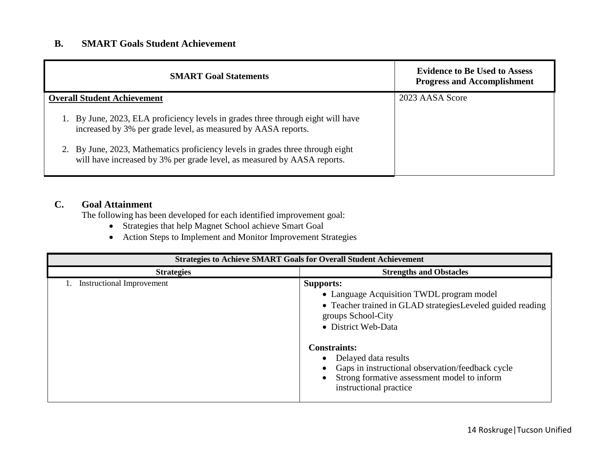## **B. SMART Goals Student Achievement**

| <b>SMART Goal Statements</b>                                                                                                                           | <b>Evidence to Be Used to Assess</b><br><b>Progress and Accomplishment</b> |
|--------------------------------------------------------------------------------------------------------------------------------------------------------|----------------------------------------------------------------------------|
| <b>Overall Student Achievement</b>                                                                                                                     | 2023 AASA Score                                                            |
| By June, 2023, ELA proficiency levels in grades three through eight will have<br>increased by 3% per grade level, as measured by AASA reports.         |                                                                            |
| By June, 2023, Mathematics proficiency levels in grades three through eight<br>will have increased by 3% per grade level, as measured by AASA reports. |                                                                            |

# **C. Goal Attainment**

The following has been developed for each identified improvement goal:

- Strategies that help Magnet School achieve Smart Goal
- Action Steps to Implement and Monitor Improvement Strategies

| <b>Strategies to Achieve SMART Goals for Overall Student Achievement</b> |                                                                                                                                                                                                                                                                                                                                                       |  |  |
|--------------------------------------------------------------------------|-------------------------------------------------------------------------------------------------------------------------------------------------------------------------------------------------------------------------------------------------------------------------------------------------------------------------------------------------------|--|--|
| <b>Strategies</b>                                                        | <b>Strengths and Obstacles</b>                                                                                                                                                                                                                                                                                                                        |  |  |
| <b>Instructional Improvement</b>                                         | <b>Supports:</b><br>• Language Acquisition TWDL program model<br>• Teacher trained in GLAD strategies Leveled guided reading<br>groups School-City<br>• District Web-Data<br><b>Constraints:</b><br>Delayed data results<br>Gaps in instructional observation/feedback cycle<br>Strong formative assessment model to inform<br>instructional practice |  |  |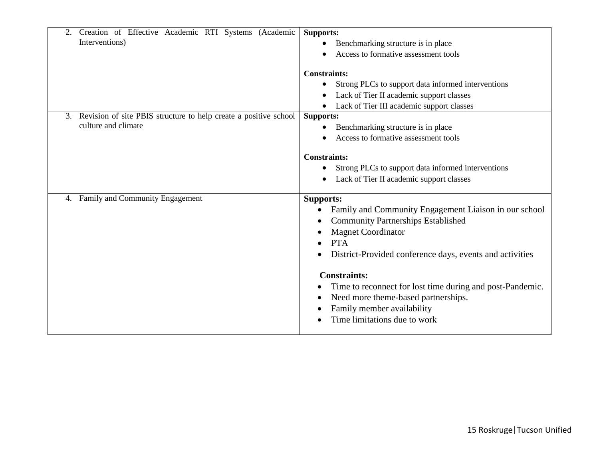| Creation of Effective Academic RTI Systems (Academic<br>2.<br>Interventions)                  | <b>Supports:</b><br>Benchmarking structure is in place<br>Access to formative assessment tools<br><b>Constraints:</b>                                                                                                                                                                                                                                                                                                  |
|-----------------------------------------------------------------------------------------------|------------------------------------------------------------------------------------------------------------------------------------------------------------------------------------------------------------------------------------------------------------------------------------------------------------------------------------------------------------------------------------------------------------------------|
|                                                                                               | Strong PLCs to support data informed interventions<br>$\bullet$<br>Lack of Tier II academic support classes<br>Lack of Tier III academic support classes                                                                                                                                                                                                                                                               |
| Revision of site PBIS structure to help create a positive school<br>3.<br>culture and climate | <b>Supports:</b><br>Benchmarking structure is in place<br>$\bullet$<br>Access to formative assessment tools<br><b>Constraints:</b><br>Strong PLCs to support data informed interventions<br>Lack of Tier II academic support classes                                                                                                                                                                                   |
| Family and Community Engagement<br>4.                                                         | <b>Supports:</b><br>Family and Community Engagement Liaison in our school<br><b>Community Partnerships Established</b><br><b>Magnet Coordinator</b><br><b>PTA</b><br>District-Provided conference days, events and activities<br><b>Constraints:</b><br>Time to reconnect for lost time during and post-Pandemic.<br>Need more theme-based partnerships.<br>Family member availability<br>Time limitations due to work |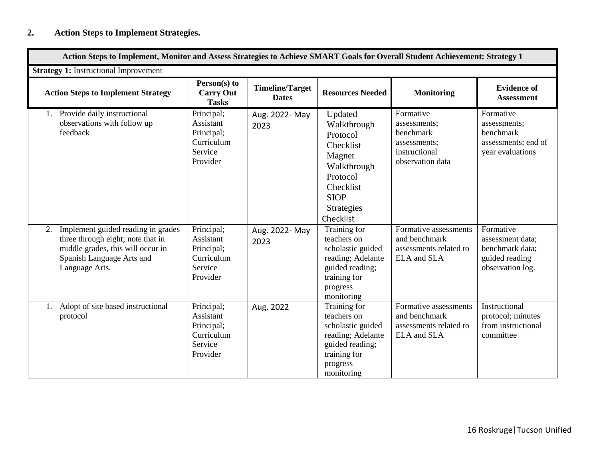| <b>Strategy 1:</b> Instructional Improvement                                                                                                                      |                                                                            |                                        |                                                                                                                                                    |                                                                                             |                                                                                        |
|-------------------------------------------------------------------------------------------------------------------------------------------------------------------|----------------------------------------------------------------------------|----------------------------------------|----------------------------------------------------------------------------------------------------------------------------------------------------|---------------------------------------------------------------------------------------------|----------------------------------------------------------------------------------------|
| <b>Action Steps to Implement Strategy</b>                                                                                                                         | Person(s) to<br><b>Carry Out</b><br><b>Tasks</b>                           | <b>Timeline/Target</b><br><b>Dates</b> | <b>Resources Needed</b>                                                                                                                            | <b>Monitoring</b>                                                                           | <b>Evidence of</b><br><b>Assessment</b>                                                |
| 1. Provide daily instructional<br>observations with follow up<br>feedback                                                                                         | Principal;<br>Assistant<br>Principal;<br>Curriculum<br>Service<br>Provider | Aug. 2022- May<br>2023                 | Updated<br>Walkthrough<br>Protocol<br>Checklist<br>Magnet<br>Walkthrough<br>Protocol<br>Checklist<br><b>SIOP</b><br><b>Strategies</b><br>Checklist | Formative<br>assessments;<br>benchmark<br>assessments;<br>instructional<br>observation data | Formative<br>assessments;<br>benchmark<br>assessments; end of<br>year evaluations      |
| Implement guided reading in grades<br>2.<br>three through eight; note that in<br>middle grades, this will occur in<br>Spanish Language Arts and<br>Language Arts. | Principal;<br>Assistant<br>Principal;<br>Curriculum<br>Service<br>Provider | Aug. 2022- May<br>2023                 | Training for<br>teachers on<br>scholastic guided<br>reading; Adelante<br>guided reading;<br>training for<br>progress<br>monitoring                 | Formative assessments<br>and benchmark<br>assessments related to<br>ELA and SLA             | Formative<br>assessment data;<br>benchmark data;<br>guided reading<br>observation log. |
| Adopt of site based instructional<br>1.<br>protocol                                                                                                               | Principal;<br>Assistant<br>Principal;<br>Curriculum<br>Service<br>Provider | Aug. 2022                              | Training for<br>teachers on<br>scholastic guided<br>reading; Adelante<br>guided reading;<br>training for<br>progress<br>monitoring                 | Formative assessments<br>and benchmark<br>assessments related to<br>ELA and SLA             | Instructional<br>protocol; minutes<br>from instructional<br>committee                  |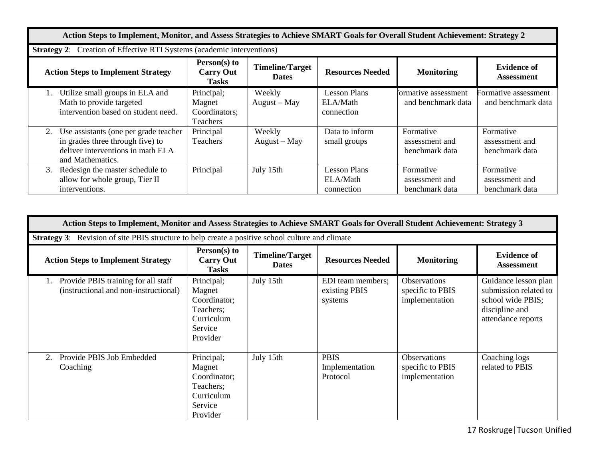| Action Steps to Implement, Monitor, and Assess Strategies to Achieve SMART Goals for Overall Student Achievement: Strategy 2             |                                                                               |                                        |                                               |                                               |                                               |  |
|------------------------------------------------------------------------------------------------------------------------------------------|-------------------------------------------------------------------------------|----------------------------------------|-----------------------------------------------|-----------------------------------------------|-----------------------------------------------|--|
|                                                                                                                                          | <b>Strategy 2:</b> Creation of Effective RTI Systems (academic interventions) |                                        |                                               |                                               |                                               |  |
| <b>Action Steps to Implement Strategy</b>                                                                                                | Person(s) to<br><b>Carry Out</b><br><b>Tasks</b>                              | <b>Timeline/Target</b><br><b>Dates</b> | <b>Resources Needed</b>                       | <b>Monitoring</b>                             | <b>Evidence of</b><br><b>Assessment</b>       |  |
| Utilize small groups in ELA and<br>Math to provide targeted<br>intervention based on student need.                                       | Principal;<br>Magnet<br>Coordinators;<br>Teachers                             | Weekly<br>August - May                 | <b>Lesson Plans</b><br>ELA/Math<br>connection | formative assessment<br>and benchmark data    | Formative assessment<br>and benchmark data    |  |
| Use assistants (one per grade teacher<br>2.<br>in grades three through five) to<br>deliver interventions in math ELA<br>and Mathematics. | Principal<br>Teachers                                                         | Weekly<br>$August - May$               | Data to inform<br>small groups                | Formative<br>assessment and<br>benchmark data | Formative<br>assessment and<br>benchmark data |  |
| Redesign the master schedule to<br>3.<br>allow for whole group, Tier II<br>interventions.                                                | Principal                                                                     | July 15th                              | <b>Lesson Plans</b><br>ELA/Math<br>connection | Formative<br>assessment and<br>benchmark data | Formative<br>assessment and<br>benchmark data |  |

| Action Steps to Implement, Monitor and Assess Strategies to Achieve SMART Goals for Overall Student Achievement: Strategy 3 |                                                                                        |                                        |                                               |                                                    |                                                                                                            |
|-----------------------------------------------------------------------------------------------------------------------------|----------------------------------------------------------------------------------------|----------------------------------------|-----------------------------------------------|----------------------------------------------------|------------------------------------------------------------------------------------------------------------|
| Strategy 3: Revision of site PBIS structure to help create a positive school culture and climate                            |                                                                                        |                                        |                                               |                                                    |                                                                                                            |
| <b>Action Steps to Implement Strategy</b>                                                                                   | Person(s) to<br><b>Carry Out</b><br><b>Tasks</b>                                       | <b>Timeline/Target</b><br><b>Dates</b> | <b>Resources Needed</b>                       | <b>Monitoring</b>                                  | <b>Evidence of</b><br><b>Assessment</b>                                                                    |
| Provide PBIS training for all staff<br>(instructional and non-instructional)                                                | Principal;<br>Magnet<br>Coordinator;<br>Teachers;<br>Curriculum<br>Service<br>Provider | July 15th                              | EDI team members;<br>existing PBIS<br>systems | Observations<br>specific to PBIS<br>implementation | Guidance lesson plan<br>submission related to<br>school wide PBIS;<br>discipline and<br>attendance reports |
| Provide PBIS Job Embedded<br>2.<br>Coaching                                                                                 | Principal;<br>Magnet<br>Coordinator;<br>Teachers;<br>Curriculum<br>Service<br>Provider | July 15th                              | <b>PBIS</b><br>Implementation<br>Protocol     | Observations<br>specific to PBIS<br>implementation | Coaching logs<br>related to PBIS                                                                           |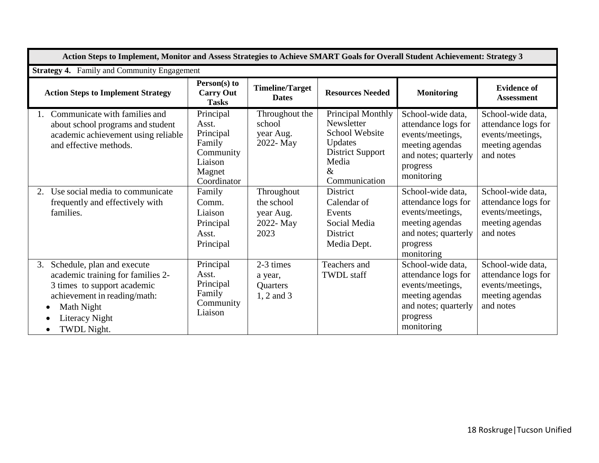| Action Steps to Implement, Monitor and Assess Strategies to Achieve SMART Goals for Overall Student Achievement: Strategy 3                                                                                   |                                                                                            |                                                            |                                                                                                                                  |                                                                                                                                   |                                                                                              |
|---------------------------------------------------------------------------------------------------------------------------------------------------------------------------------------------------------------|--------------------------------------------------------------------------------------------|------------------------------------------------------------|----------------------------------------------------------------------------------------------------------------------------------|-----------------------------------------------------------------------------------------------------------------------------------|----------------------------------------------------------------------------------------------|
|                                                                                                                                                                                                               | <b>Strategy 4.</b> Family and Community Engagement                                         |                                                            |                                                                                                                                  |                                                                                                                                   |                                                                                              |
| <b>Action Steps to Implement Strategy</b>                                                                                                                                                                     | Person(s) to<br><b>Carry Out</b><br><b>Tasks</b>                                           | <b>Timeline/Target</b><br><b>Dates</b>                     | <b>Resources Needed</b>                                                                                                          | <b>Monitoring</b>                                                                                                                 | <b>Evidence of</b><br><b>Assessment</b>                                                      |
| Communicate with families and<br>about school programs and student<br>academic achievement using reliable<br>and effective methods.                                                                           | Principal<br>Asst.<br>Principal<br>Family<br>Community<br>Liaison<br>Magnet<br>Coordinator | Throughout the<br>school<br>year Aug.<br>2022- May         | Principal Monthly<br>Newsletter<br><b>School Website</b><br>Updates<br><b>District Support</b><br>Media<br>$\&$<br>Communication | School-wide data,<br>attendance logs for<br>events/meetings,<br>meeting agendas<br>and notes; quarterly<br>progress<br>monitoring | School-wide data,<br>attendance logs for<br>events/meetings,<br>meeting agendas<br>and notes |
| Use social media to communicate<br>2.<br>frequently and effectively with<br>families.                                                                                                                         | Family<br>Comm.<br>Liaison<br>Principal<br>Asst.<br>Principal                              | Throughout<br>the school<br>year Aug.<br>2022- May<br>2023 | <b>District</b><br>Calendar of<br>Events<br>Social Media<br><b>District</b><br>Media Dept.                                       | School-wide data,<br>attendance logs for<br>events/meetings,<br>meeting agendas<br>and notes; quarterly<br>progress<br>monitoring | School-wide data,<br>attendance logs for<br>events/meetings,<br>meeting agendas<br>and notes |
| Schedule, plan and execute<br>3.<br>academic training for families 2-<br>3 times to support academic<br>achievement in reading/math:<br>Math Night<br>$\bullet$<br>Literacy Night<br>TWDL Night.<br>$\bullet$ | Principal<br>Asst.<br>Principal<br>Family<br>Community<br>Liaison                          | 2-3 times<br>a year,<br><b>Quarters</b><br>1, 2 and 3      | Teachers and<br><b>TWDL</b> staff                                                                                                | School-wide data,<br>attendance logs for<br>events/meetings,<br>meeting agendas<br>and notes; quarterly<br>progress<br>monitoring | School-wide data,<br>attendance logs for<br>events/meetings,<br>meeting agendas<br>and notes |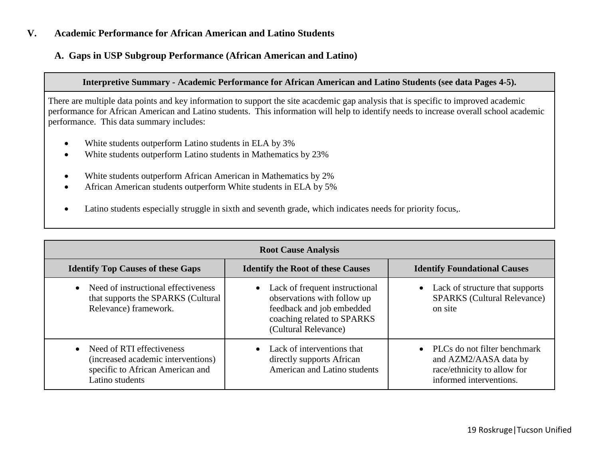### **V. Academic Performance for African American and Latino Students**

### **A. Gaps in USP Subgroup Performance (African American and Latino)**

### **Interpretive Summary - Academic Performance for African American and Latino Students (see data Pages 4-5).**

There are multiple data points and key information to support the site acacdemic gap analysis that is specific to improved academic performance for African American and Latino students. This information will help to identify needs to increase overall school academic performance. This data summary includes:

- White students outperform Latino students in ELA by 3%
- White students outperform Latino students in Mathematics by 23%
- White students outperform African American in Mathematics by 2%
- African American students outperform White students in ELA by 5%
- Latino students especially struggle in sixth and seventh grade, which indicates needs for priority focus,.

| <b>Root Cause Analysis</b>                                                                                             |                                                                                                                                                    |                                                                                                                              |  |  |  |
|------------------------------------------------------------------------------------------------------------------------|----------------------------------------------------------------------------------------------------------------------------------------------------|------------------------------------------------------------------------------------------------------------------------------|--|--|--|
| <b>Identify Top Causes of these Gaps</b>                                                                               | <b>Identify the Root of these Causes</b>                                                                                                           | <b>Identify Foundational Causes</b>                                                                                          |  |  |  |
| Need of instructional effectiveness<br>$\bullet$<br>that supports the SPARKS (Cultural<br>Relevance) framework.        | • Lack of frequent instructional<br>observations with follow up<br>feedback and job embedded<br>coaching related to SPARKS<br>(Cultural Relevance) | Lack of structure that supports<br><b>SPARKS</b> (Cultural Relevance)<br>on site                                             |  |  |  |
| Need of RTI effectiveness<br>(increased academic interventions)<br>specific to African American and<br>Latino students | • Lack of interventions that<br>directly supports African<br>American and Latino students                                                          | PLCs do not filter benchmark<br>$\bullet$<br>and AZM2/AASA data by<br>race/ethnicity to allow for<br>informed interventions. |  |  |  |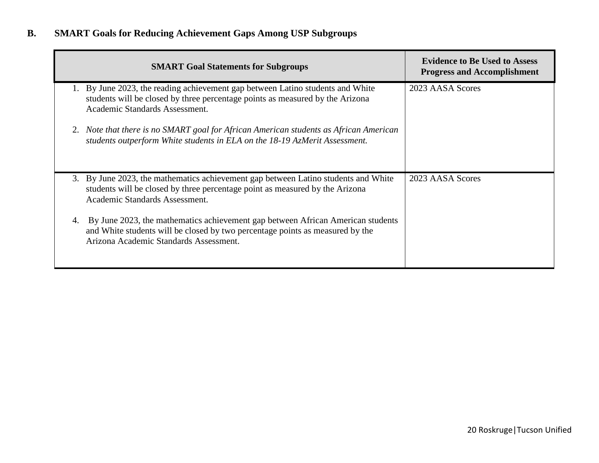# **B. SMART Goals for Reducing Achievement Gaps Among USP Subgroups**

|    | <b>SMART Goal Statements for Subgroups</b>                                                                                                                                                                 | <b>Evidence to Be Used to Assess</b><br><b>Progress and Accomplishment</b> |
|----|------------------------------------------------------------------------------------------------------------------------------------------------------------------------------------------------------------|----------------------------------------------------------------------------|
|    | 1. By June 2023, the reading achievement gap between Latino students and White<br>students will be closed by three percentage points as measured by the Arizona<br>Academic Standards Assessment.          | 2023 AASA Scores                                                           |
|    | 2. Note that there is no SMART goal for African American students as African American<br>students outperform White students in ELA on the 18-19 AzMerit Assessment.                                        |                                                                            |
|    | 3. By June 2023, the mathematics achievement gap between Latino students and White<br>students will be closed by three percentage point as measured by the Arizona<br>Academic Standards Assessment.       | 2023 AASA Scores                                                           |
| 4. | By June 2023, the mathematics achievement gap between African American students<br>and White students will be closed by two percentage points as measured by the<br>Arizona Academic Standards Assessment. |                                                                            |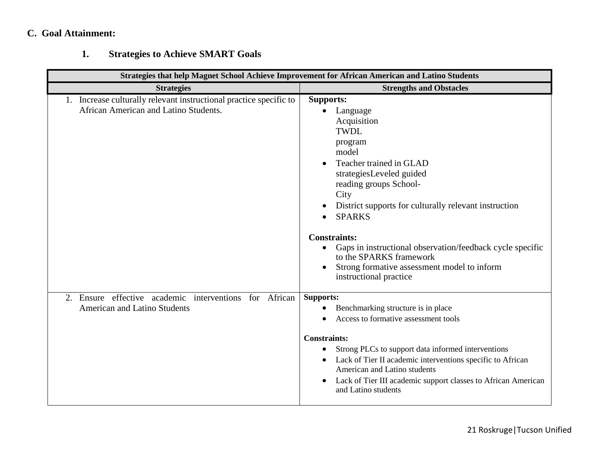# **C. Goal Attainment:**

# **1. Strategies to Achieve SMART Goals**

|                                                                                                             | Strategies that help Magnet School Achieve Improvement for African American and Latino Students                                                                                                                                                                                                                                                                                                                                                                     |
|-------------------------------------------------------------------------------------------------------------|---------------------------------------------------------------------------------------------------------------------------------------------------------------------------------------------------------------------------------------------------------------------------------------------------------------------------------------------------------------------------------------------------------------------------------------------------------------------|
| <b>Strategies</b>                                                                                           | <b>Strengths and Obstacles</b>                                                                                                                                                                                                                                                                                                                                                                                                                                      |
| 1. Increase culturally relevant instructional practice specific to<br>African American and Latino Students. | <b>Supports:</b><br>Language<br>Acquisition<br><b>TWDL</b><br>program<br>model<br>Teacher trained in GLAD<br>strategiesLeveled guided<br>reading groups School-<br>City<br>District supports for culturally relevant instruction<br><b>SPARKS</b><br>$\bullet$<br><b>Constraints:</b><br>Gaps in instructional observation/feedback cycle specific<br>$\bullet$<br>to the SPARKS framework<br>Strong formative assessment model to inform<br>instructional practice |
| 2. Ensure effective academic interventions for African<br><b>American and Latino Students</b>               | <b>Supports:</b><br>Benchmarking structure is in place<br>Access to formative assessment tools<br><b>Constraints:</b><br>Strong PLCs to support data informed interventions<br>$\bullet$<br>Lack of Tier II academic interventions specific to African<br>American and Latino students<br>Lack of Tier III academic support classes to African American<br>and Latino students                                                                                      |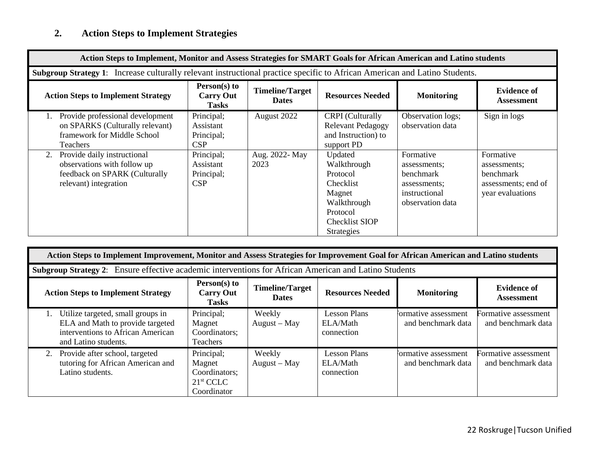# **2. Action Steps to Implement Strategies**

| Action Steps to Implement, Monitor and Assess Strategies for SMART Goals for African American and Latino students          |                                                     |                                        |                                                                                                                                    |                                                                                                    |                                                                                   |  |  |
|----------------------------------------------------------------------------------------------------------------------------|-----------------------------------------------------|----------------------------------------|------------------------------------------------------------------------------------------------------------------------------------|----------------------------------------------------------------------------------------------------|-----------------------------------------------------------------------------------|--|--|
| Subgroup Strategy 1: Increase culturally relevant instructional practice specific to African American and Latino Students. |                                                     |                                        |                                                                                                                                    |                                                                                                    |                                                                                   |  |  |
| <b>Action Steps to Implement Strategy</b>                                                                                  | Person(s) to<br><b>Carry Out</b><br>Tasks           | <b>Timeline/Target</b><br><b>Dates</b> | <b>Resources Needed</b>                                                                                                            | <b>Monitoring</b>                                                                                  | <b>Evidence of</b><br><b>Assessment</b>                                           |  |  |
| Provide professional development<br>on SPARKS (Culturally relevant)<br>framework for Middle School<br><b>Teachers</b>      | Principal;<br>Assistant<br>Principal;<br><b>CSP</b> | August 2022                            | <b>CRPI</b> (Culturally<br><b>Relevant Pedagogy</b><br>and Instruction) to<br>support PD                                           | Observation logs;<br>observation data                                                              | Sign in logs                                                                      |  |  |
| Provide daily instructional<br>2.<br>observations with follow up<br>feedback on SPARK (Culturally<br>relevant) integration | Principal;<br>Assistant<br>Principal;<br>CSP        | Aug. 2022- May<br>2023                 | Updated<br>Walkthrough<br>Protocol<br><b>Checklist</b><br>Magnet<br>Walkthrough<br>Protocol<br>Checklist SIOP<br><b>Strategies</b> | Formative<br>assessments;<br><b>benchmark</b><br>assessments;<br>instructional<br>observation data | Formative<br>assessments;<br>benchmark<br>assessments; end of<br>year evaluations |  |  |

| Action Steps to Implement Improvement, Monitor and Assess Strategies for Improvement Goal for African American and Latino students |                                                                               |                                        |                                               |                                            |                                            |  |  |  |
|------------------------------------------------------------------------------------------------------------------------------------|-------------------------------------------------------------------------------|----------------------------------------|-----------------------------------------------|--------------------------------------------|--------------------------------------------|--|--|--|
| <b>Subgroup Strategy 2:</b> Ensure effective academic interventions for African American and Latino Students                       |                                                                               |                                        |                                               |                                            |                                            |  |  |  |
| <b>Action Steps to Implement Strategy</b>                                                                                          | Person(s) to<br><b>Carry Out</b><br><b>Tasks</b>                              | <b>Timeline/Target</b><br><b>Dates</b> | <b>Resources Needed</b>                       | <b>Monitoring</b>                          | <b>Evidence of</b><br><b>Assessment</b>    |  |  |  |
| Utilize targeted, small groups in<br>ELA and Math to provide targeted<br>interventions to African American<br>and Latino students. | Principal;<br>Magnet<br>Coordinators;<br><b>Teachers</b>                      | Weekly<br>$August - May$               | <b>Lesson Plans</b><br>ELA/Math<br>connection | Formative assessment<br>and benchmark data | Formative assessment<br>and benchmark data |  |  |  |
| 2. Provide after school, targeted<br>tutoring for African American and<br>Latino students.                                         | Principal;<br>Magnet<br>Coordinators;<br>21 <sup>st</sup> CCLC<br>Coordinator | Weekly<br>$August - May$               | <b>Lesson Plans</b><br>ELA/Math<br>connection | formative assessment<br>and benchmark data | Formative assessment<br>and benchmark data |  |  |  |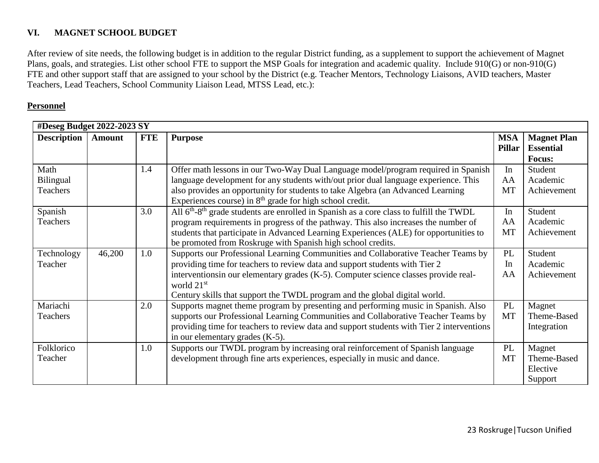### **VI. MAGNET SCHOOL BUDGET**

After review of site needs, the following budget is in addition to the regular District funding, as a supplement to support the achievement of Magnet Plans, goals, and strategies. List other school FTE to support the MSP Goals for integration and academic quality. Include 910(G) or non-910(G) FTE and other support staff that are assigned to your school by the District (e.g. Teacher Mentors, Technology Liaisons, AVID teachers, Master Teachers, Lead Teachers, School Community Liaison Lead, MTSS Lead, etc.):

### **Personnel**

| #Deseg Budget 2022-2023 SY |               |            |                                                                                                                 |                             |                                        |  |  |
|----------------------------|---------------|------------|-----------------------------------------------------------------------------------------------------------------|-----------------------------|----------------------------------------|--|--|
| <b>Description</b>         | <b>Amount</b> | <b>FTE</b> | <b>Purpose</b>                                                                                                  | <b>MSA</b><br><b>Pillar</b> | <b>Magnet Plan</b><br><b>Essential</b> |  |  |
|                            |               |            |                                                                                                                 |                             | Focus:                                 |  |  |
| Math                       |               | 1.4        | Offer math lessons in our Two-Way Dual Language model/program required in Spanish                               | In                          | Student                                |  |  |
| Bilingual                  |               |            | language development for any students with/out prior dual language experience. This                             | AA                          | Academic                               |  |  |
| Teachers                   |               |            | also provides an opportunity for students to take Algebra (an Advanced Learning                                 | <b>MT</b>                   | Achievement                            |  |  |
|                            |               |            | Experiences course) in $8th$ grade for high school credit.                                                      |                             |                                        |  |  |
| Spanish                    |               | 3.0        | All 6 <sup>th</sup> -8 <sup>th</sup> grade students are enrolled in Spanish as a core class to fulfill the TWDL | In                          | Student                                |  |  |
| Teachers                   |               |            | program requirements in progress of the pathway. This also increases the number of                              | AA                          | Academic                               |  |  |
|                            |               |            | students that participate in Advanced Learning Experiences (ALE) for opportunities to                           | <b>MT</b>                   | Achievement                            |  |  |
|                            |               |            | be promoted from Roskruge with Spanish high school credits.                                                     |                             |                                        |  |  |
| Technology                 | 46,200        | 1.0        | Supports our Professional Learning Communities and Collaborative Teacher Teams by                               | PL                          | Student                                |  |  |
| Teacher                    |               |            | providing time for teachers to review data and support students with Tier 2                                     | In                          | Academic                               |  |  |
|                            |               |            | interventions in our elementary grades (K-5). Computer science classes provide real-<br>world $21st$            | AA                          | Achievement                            |  |  |
|                            |               |            | Century skills that support the TWDL program and the global digital world.                                      |                             |                                        |  |  |
| Mariachi                   |               | 2.0        | Supports magnet theme program by presenting and performing music in Spanish. Also                               | PL                          | Magnet                                 |  |  |
| Teachers                   |               |            | supports our Professional Learning Communities and Collaborative Teacher Teams by                               | <b>MT</b>                   | Theme-Based                            |  |  |
|                            |               |            | providing time for teachers to review data and support students with Tier 2 interventions                       |                             | Integration                            |  |  |
|                            |               |            | in our elementary grades (K-5).                                                                                 |                             |                                        |  |  |
| Folklorico                 |               | 1.0        | Supports our TWDL program by increasing oral reinforcement of Spanish language                                  | PL                          | Magnet                                 |  |  |
| Teacher                    |               |            | development through fine arts experiences, especially in music and dance.                                       | <b>MT</b>                   | Theme-Based                            |  |  |
|                            |               |            |                                                                                                                 |                             | Elective                               |  |  |
|                            |               |            |                                                                                                                 |                             | Support                                |  |  |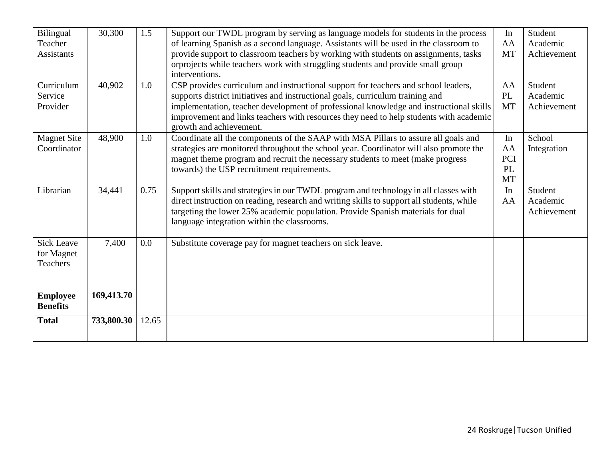| Bilingual          | 30,300     | 1.5   | Support our TWDL program by serving as language models for students in the process                                |           | Student     |
|--------------------|------------|-------|-------------------------------------------------------------------------------------------------------------------|-----------|-------------|
| Teacher            |            |       | of learning Spanish as a second language. Assistants will be used in the classroom to                             | AA        | Academic    |
| <b>Assistants</b>  |            |       | provide support to classroom teachers by working with students on assignments, tasks                              | <b>MT</b> | Achievement |
|                    |            |       | orprojects while teachers work with struggling students and provide small group                                   |           |             |
|                    |            |       | interventions.                                                                                                    |           |             |
| Curriculum         | 40,902     | 1.0   | CSP provides curriculum and instructional support for teachers and school leaders,                                | AA        | Student     |
| Service            |            |       | supports district initiatives and instructional goals, curriculum training and                                    | PL        | Academic    |
| Provider           |            |       | implementation, teacher development of professional knowledge and instructional skills                            | <b>MT</b> | Achievement |
|                    |            |       | improvement and links teachers with resources they need to help students with academic<br>growth and achievement. |           |             |
| <b>Magnet Site</b> | 48,900     | 1.0   | Coordinate all the components of the SAAP with MSA Pillars to assure all goals and                                | In        | School      |
| Coordinator        |            |       | strategies are monitored throughout the school year. Coordinator will also promote the                            | AA        | Integration |
|                    |            |       | magnet theme program and recruit the necessary students to meet (make progress                                    | PCI       |             |
|                    |            |       | towards) the USP recruitment requirements.                                                                        | PL        |             |
|                    |            |       |                                                                                                                   | <b>MT</b> |             |
| Librarian          | 34,441     | 0.75  | Support skills and strategies in our TWDL program and technology in all classes with                              | In        | Student     |
|                    |            |       | direct instruction on reading, research and writing skills to support all students, while                         | AA        | Academic    |
|                    |            |       | targeting the lower 25% academic population. Provide Spanish materials for dual                                   |           | Achievement |
|                    |            |       | language integration within the classrooms.                                                                       |           |             |
|                    |            |       |                                                                                                                   |           |             |
| <b>Sick Leave</b>  | 7,400      | 0.0   | Substitute coverage pay for magnet teachers on sick leave.                                                        |           |             |
| for Magnet         |            |       |                                                                                                                   |           |             |
| Teachers           |            |       |                                                                                                                   |           |             |
|                    |            |       |                                                                                                                   |           |             |
|                    |            |       |                                                                                                                   |           |             |
| <b>Employee</b>    | 169,413.70 |       |                                                                                                                   |           |             |
| <b>Benefits</b>    |            |       |                                                                                                                   |           |             |
| <b>Total</b>       | 733,800.30 | 12.65 |                                                                                                                   |           |             |
|                    |            |       |                                                                                                                   |           |             |
|                    |            |       |                                                                                                                   |           |             |